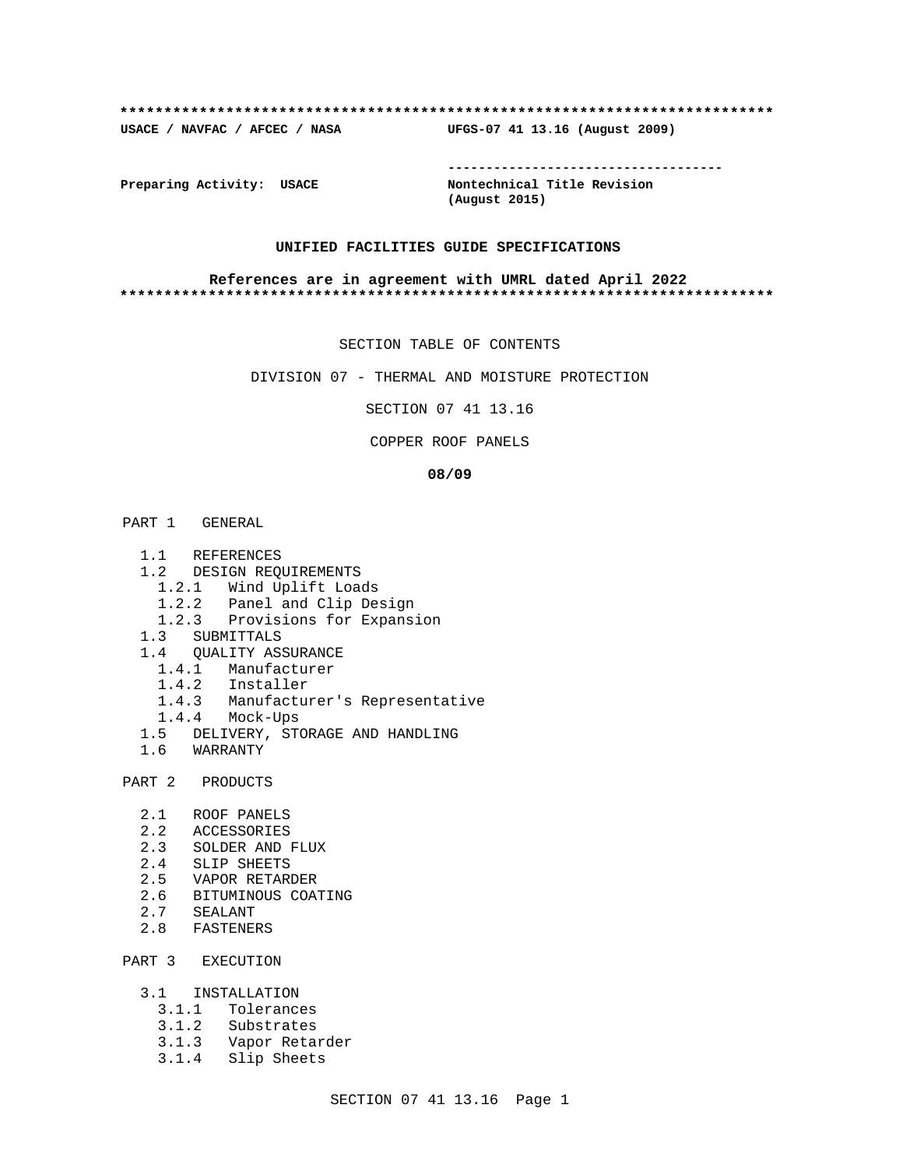#### **\*\*\*\*\*\*\*\*\*\*\*\*\*\*\*\*\*\*\*\*\*\*\*\*\*\*\*\*\*\*\*\*\*\*\*\*\*\*\*\*\*\*\*\*\*\*\*\*\*\*\*\*\*\*\*\*\*\*\*\*\*\*\*\*\*\*\*\*\*\*\*\*\*\***

**USACE / NAVFAC / AFCEC / NASA UFGS-07 41 13.16 (August 2009)**

**Preparing Activity: USACE Nontechnical Title Revision**

**------------------------------------**

**(August 2015)**

#### **UNIFIED FACILITIES GUIDE SPECIFICATIONS**

#### **References are in agreement with UMRL dated April 2022 \*\*\*\*\*\*\*\*\*\*\*\*\*\*\*\*\*\*\*\*\*\*\*\*\*\*\*\*\*\*\*\*\*\*\*\*\*\*\*\*\*\*\*\*\*\*\*\*\*\*\*\*\*\*\*\*\*\*\*\*\*\*\*\*\*\*\*\*\*\*\*\*\*\***

#### SECTION TABLE OF CONTENTS

DIVISION 07 - THERMAL AND MOISTURE PROTECTION

SECTION 07 41 13.16

#### COPPER ROOF PANELS

#### **08/09**

## PART 1 GENERAL

- 1.1 REFERENCES
- 1.2 DESIGN REQUIREMENTS
	- 1.2.1 Wind Uplift Loads
	- 1.2.2 Panel and Clip Design
	- 1.2.3 Provisions for Expansion
- 1.3 SUBMITTALS
- 1.4 QUALITY ASSURANCE
	- 1.4.1 Manufacturer
	- 1.4.2 Installer
	- 1.4.3 Manufacturer's Representative
	- 1.4.4 Mock-Ups
- 1.5 DELIVERY, STORAGE AND HANDLING
- 1.6 WARRANTY

PART 2 PRODUCTS

- 2.1 ROOF PANELS
- 2.2 ACCESSORIES
- 2.3 SOLDER AND FLUX
- 2.4 SLIP SHEETS
- 2.5 VAPOR RETARDER
- 2.6 BITUMINOUS COATING
- 2.7 SEALANT
- 2.8 FASTENERS

## PART 3 EXECUTION

- 3.1 INSTALLATION
	- 3.1.1 Tolerances
	- 3.1.2 Substrates
	- 3.1.3 Vapor Retarder
	- 3.1.4 Slip Sheets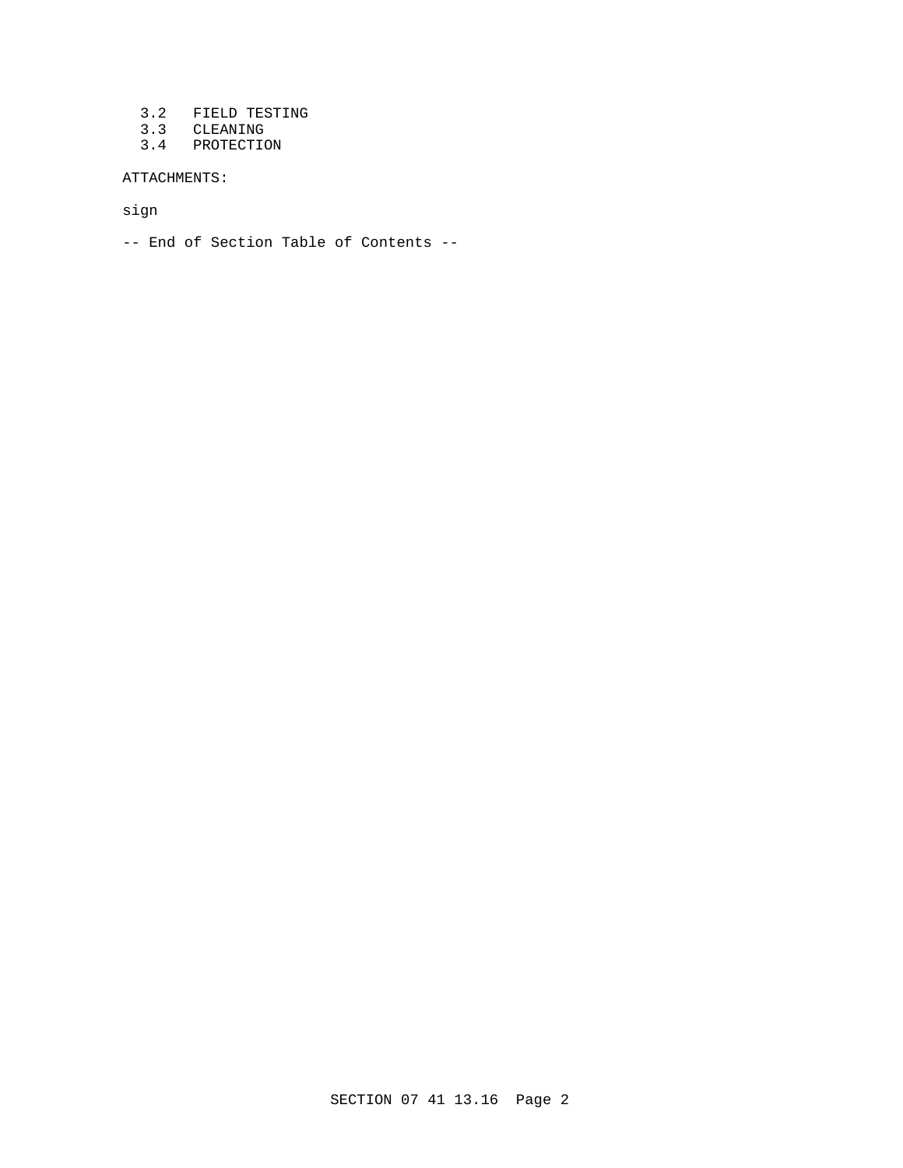- 3.2 FIELD TESTING
- 3.3 CLEANING
- 3.4 PROTECTION

ATTACHMENTS:

sign

-- End of Section Table of Contents --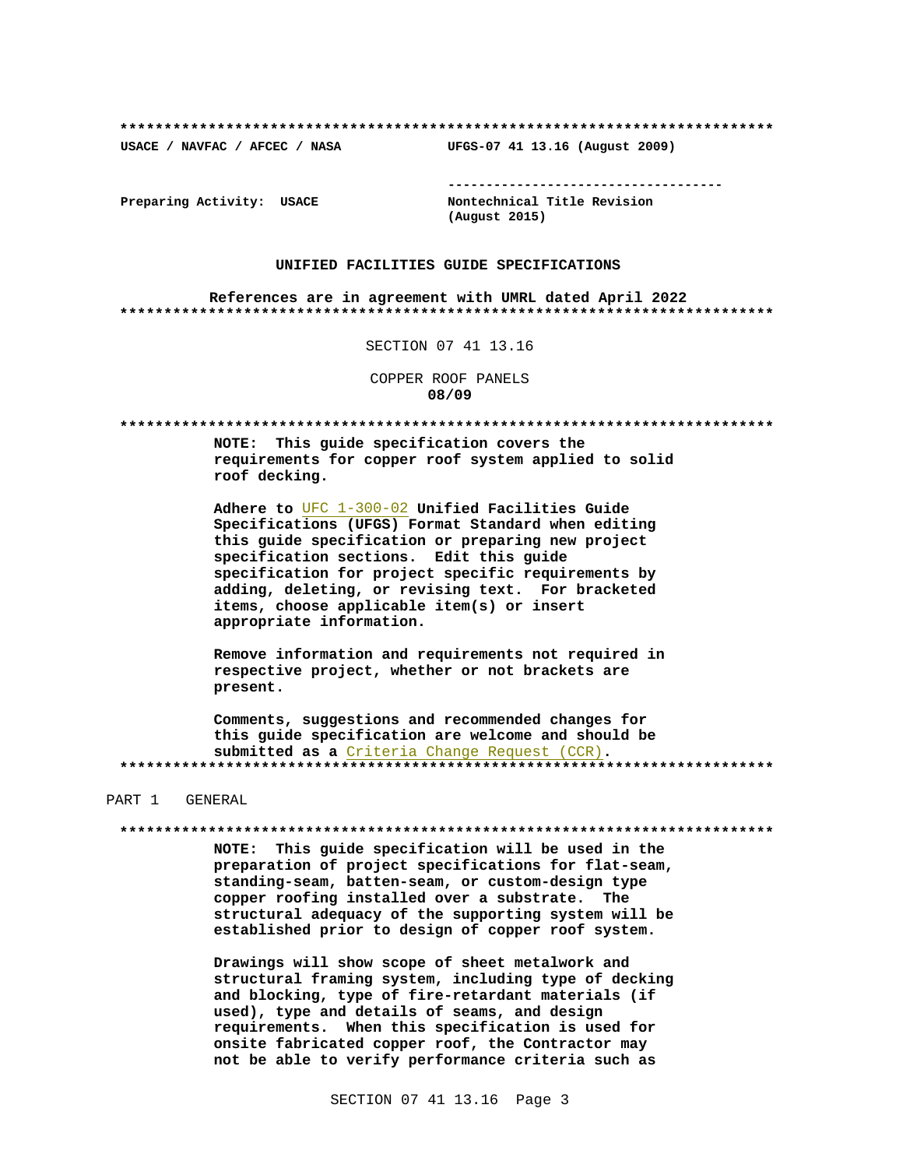USACE / NAVFAC / AFCEC / NASA

Preparing Activity: USACE

Nontechnical Title Revision (August 2015)

UFGS-07 41 13.16 (August 2009)

#### UNIFIED FACILITIES GUIDE SPECIFICATIONS

References are in agreement with UMRL dated April 2022 

SECTION 07 41 13.16

COPPER ROOF PANELS 08/09

NOTE: This guide specification covers the requirements for copper roof system applied to solid roof decking.

Adhere to UFC 1-300-02 Unified Facilities Guide Specifications (UFGS) Format Standard when editing this quide specification or preparing new project specification sections. Edit this guide specification for project specific requirements by adding, deleting, or revising text. For bracketed items, choose applicable item(s) or insert appropriate information.

Remove information and requirements not required in respective project, whether or not brackets are present.

Comments, suggestions and recommended changes for this guide specification are welcome and should be submitted as a Criteria Change Request (CCR). 

## PART 1 GENERAL

NOTE: This guide specification will be used in the preparation of project specifications for flat-seam, standing-seam, batten-seam, or custom-design type copper roofing installed over a substrate. The structural adequacy of the supporting system will be established prior to design of copper roof system.

Drawings will show scope of sheet metalwork and structural framing system, including type of decking and blocking, type of fire-retardant materials (if used), type and details of seams, and design requirements. When this specification is used for onsite fabricated copper roof, the Contractor may not be able to verify performance criteria such as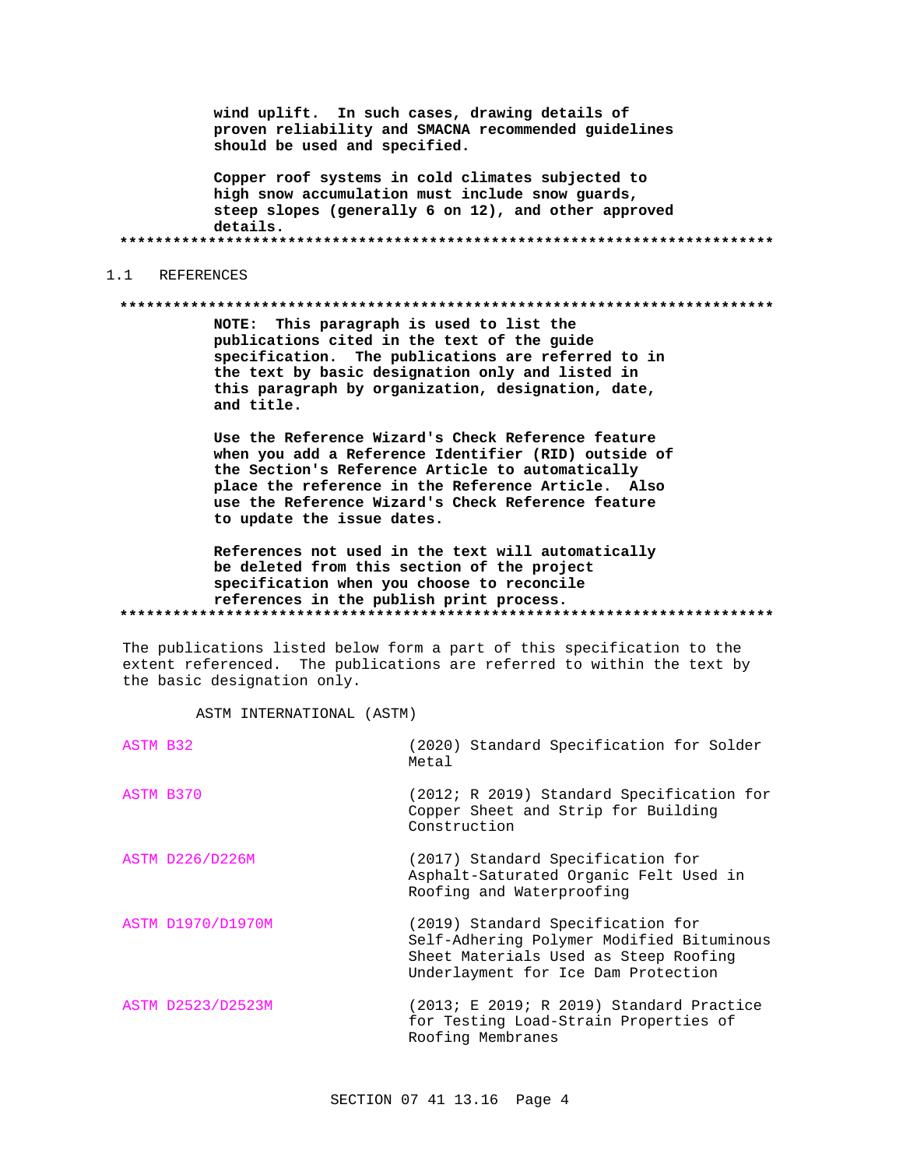wind uplift. In such cases, drawing details of proven reliability and SMACNA recommended guidelines should be used and specified.

Copper roof systems in cold climates subjected to high snow accumulation must include snow guards, steep slopes (generally 6 on 12), and other approved details.

#### $1.1$ REFERENCES

#### 

NOTE: This paragraph is used to list the publications cited in the text of the guide specification. The publications are referred to in the text by basic designation only and listed in this paragraph by organization, designation, date, and title.

Use the Reference Wizard's Check Reference feature when you add a Reference Identifier (RID) outside of the Section's Reference Article to automatically place the reference in the Reference Article. Also use the Reference Wizard's Check Reference feature to update the issue dates.

References not used in the text will automatically be deleted from this section of the project specification when you choose to reconcile references in the publish print process. 

The publications listed below form a part of this specification to the extent referenced. The publications are referred to within the text by the basic designation only.

ASTM INTERNATIONAL (ASTM)

| ASTM B32 |                        | (2020) Standard Specification for Solder<br>Metal                                                                                                              |
|----------|------------------------|----------------------------------------------------------------------------------------------------------------------------------------------------------------|
|          | ASTM B370              | (2012; R 2019) Standard Specification for<br>Copper Sheet and Strip for Building<br>Construction                                                               |
|          | <b>ASTM D226/D226M</b> | (2017) Standard Specification for<br>Asphalt-Saturated Organic Felt Used in<br>Roofing and Waterproofing                                                       |
|          | ASTM D1970/D1970M      | (2019) Standard Specification for<br>Self-Adhering Polymer Modified Bituminous<br>Sheet Materials Used as Steep Roofing<br>Underlayment for Ice Dam Protection |
|          | ASTM D2523/D2523M      | (2013; E 2019; R 2019) Standard Practice<br>for Testing Load-Strain Properties of<br>Roofing Membranes                                                         |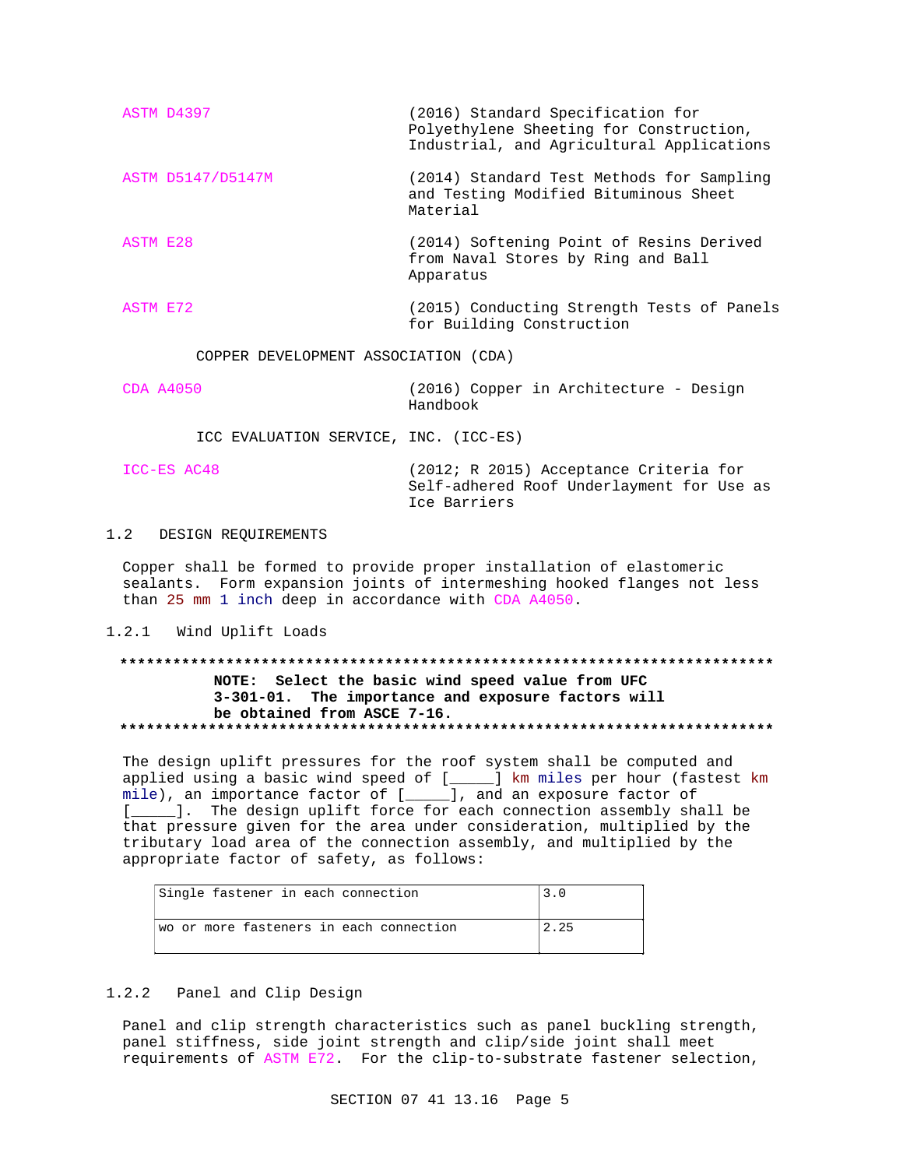| ASTM D4397        | (2016) Standard Specification for<br>Polyethylene Sheeting for Construction,<br>Industrial, and Agricultural Applications |
|-------------------|---------------------------------------------------------------------------------------------------------------------------|
| ASTM D5147/D5147M | (2014) Standard Test Methods for Sampling<br>and Testing Modified Bituminous Sheet<br>Material                            |
| ASTM E28          | (2014) Softening Point of Resins Derived<br>from Naval Stores by Ring and Ball<br>Apparatus                               |
| ASTM E72          | (2015) Conducting Strength Tests of Panels                                                                                |

for Building Construction

COPPER DEVELOPMENT ASSOCIATION (CDA)

CDA A4050 (2016) Copper in Architecture - Design Handbook

ICC EVALUATION SERVICE, INC. (ICC-ES)

| ICC-ES AC48 | (2012; R 2015) Acceptance Criteria for                    |
|-------------|-----------------------------------------------------------|
|             | Self-adhered Roof Underlayment for Use as<br>Ice Barriers |

## 1.2 DESIGN REQUIREMENTS

Copper shall be formed to provide proper installation of elastomeric sealants. Form expansion joints of intermeshing hooked flanges not less than 25 mm 1 inch deep in accordance with CDA A4050.

#### 1.2.1 Wind Uplift Loads

## **\*\*\*\*\*\*\*\*\*\*\*\*\*\*\*\*\*\*\*\*\*\*\*\*\*\*\*\*\*\*\*\*\*\*\*\*\*\*\*\*\*\*\*\*\*\*\*\*\*\*\*\*\*\*\*\*\*\*\*\*\*\*\*\*\*\*\*\*\*\*\*\*\*\* NOTE: Select the basic wind speed value from UFC 3-301-01. The importance and exposure factors will be obtained from ASCE 7-16. \*\*\*\*\*\*\*\*\*\*\*\*\*\*\*\*\*\*\*\*\*\*\*\*\*\*\*\*\*\*\*\*\*\*\*\*\*\*\*\*\*\*\*\*\*\*\*\*\*\*\*\*\*\*\*\*\*\*\*\*\*\*\*\*\*\*\*\*\*\*\*\*\*\***

The design uplift pressures for the roof system shall be computed and applied using a basic wind speed of [\_\_\_\_\_] km miles per hour (fastest km mile), an importance factor of [\_\_\_\_\_], and an exposure factor of [\_\_\_\_\_]. The design uplift force for each connection assembly shall be that pressure given for the area under consideration, multiplied by the tributary load area of the connection assembly, and multiplied by the appropriate factor of safety, as follows:

| Single fastener in each connection      | 3.0  |
|-----------------------------------------|------|
| wo or more fasteners in each connection | 2.25 |

## 1.2.2 Panel and Clip Design

Panel and clip strength characteristics such as panel buckling strength, panel stiffness, side joint strength and clip/side joint shall meet requirements of ASTM E72. For the clip-to-substrate fastener selection,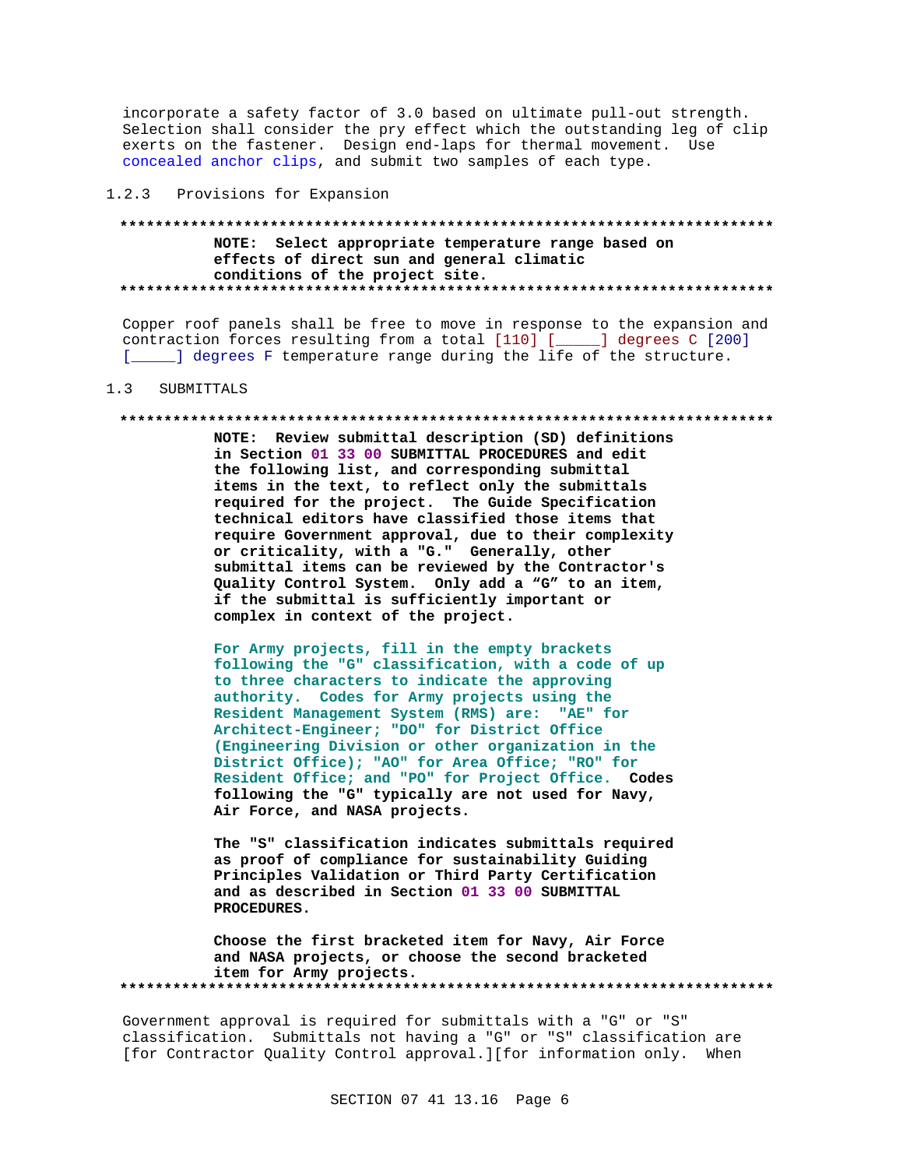incorporate a safety factor of 3.0 based on ultimate pull-out strength. Selection shall consider the pry effect which the outstanding leg of clip exerts on the fastener. Design end-laps for thermal movement. Use concealed anchor clips, and submit two samples of each type.

### 1.2.3 Provisions for Expansion

## NOTE: Select appropriate temperature range based on effects of direct sun and general climatic conditions of the project site.

Copper roof panels shall be free to move in response to the expansion and contraction forces resulting from a total [110] [\_\_\_\_\_] degrees C [200] [ \_\_\_\_ ] degrees F temperature range during the life of the structure.

#### $1.3$ SUBMITTALS

#### 

NOTE: Review submittal description (SD) definitions in Section 01 33 00 SUBMITTAL PROCEDURES and edit the following list, and corresponding submittal items in the text, to reflect only the submittals required for the project. The Guide Specification technical editors have classified those items that require Government approval, due to their complexity or criticality, with a "G." Generally, other submittal items can be reviewed by the Contractor's Quality Control System. Only add a "G" to an item, if the submittal is sufficiently important or complex in context of the project.

For Army projects, fill in the empty brackets following the "G" classification, with a code of up to three characters to indicate the approving authority. Codes for Army projects using the Resident Management System (RMS) are: "AE" for Architect-Engineer; "DO" for District Office (Engineering Division or other organization in the District Office); "AO" for Area Office; "RO" for Resident Office; and "PO" for Project Office. Codes following the "G" typically are not used for Navy, Air Force, and NASA projects.

The "S" classification indicates submittals required as proof of compliance for sustainability Guiding Principles Validation or Third Party Certification and as described in Section 01 33 00 SUBMITTAL PROCEDURES.

Choose the first bracketed item for Navy, Air Force and NASA projects, or choose the second bracketed item for Army projects. 

Government approval is required for submittals with a "G" or "S" classification. Submittals not having a "G" or "S" classification are [for Contractor Quality Control approval.][for information only. When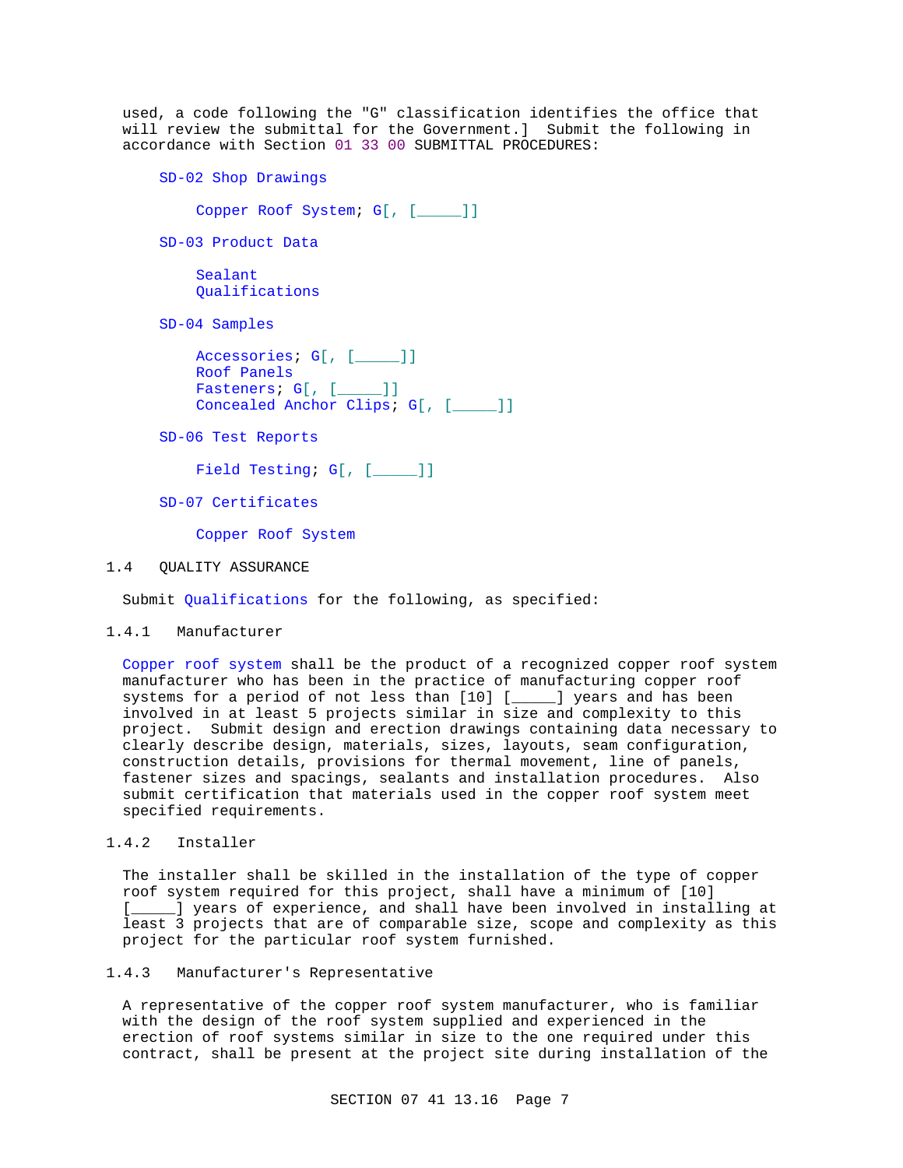used, a code following the "G" classification identifies the office that will review the submittal for the Government.] Submit the following in accordance with Section 01 33 00 SUBMITTAL PROCEDURES:

```
SD-02 Shop Drawings
    Copper Roof System; G[, [_____]]
SD-03 Product Data
    Sealant
    Qualifications
SD-04 Samples
    Accessories; G[, [____]]
    Roof Panels
    Fasteners; G[, [____]]
    Concealed Anchor Clips; G[, [____]]
```
SD-06 Test Reports

Field Testing; G[, [\_\_\_\_]]

SD-07 Certificates

Copper Roof System

## 1.4 QUALITY ASSURANCE

Submit Qualifications for the following, as specified:

## 1.4.1 Manufacturer

Copper roof system shall be the product of a recognized copper roof system manufacturer who has been in the practice of manufacturing copper roof systems for a period of not less than [10] [\_\_\_\_\_] years and has been involved in at least 5 projects similar in size and complexity to this project. Submit design and erection drawings containing data necessary to clearly describe design, materials, sizes, layouts, seam configuration, construction details, provisions for thermal movement, line of panels, fastener sizes and spacings, sealants and installation procedures. Also submit certification that materials used in the copper roof system meet specified requirements.

## 1.4.2 Installer

The installer shall be skilled in the installation of the type of copper roof system required for this project, shall have a minimum of [10] [**\_\_\_\_\_**] years of experience, and shall have been involved in installing at least 3 projects that are of comparable size, scope and complexity as this project for the particular roof system furnished.

## 1.4.3 Manufacturer's Representative

A representative of the copper roof system manufacturer, who is familiar with the design of the roof system supplied and experienced in the erection of roof systems similar in size to the one required under this contract, shall be present at the project site during installation of the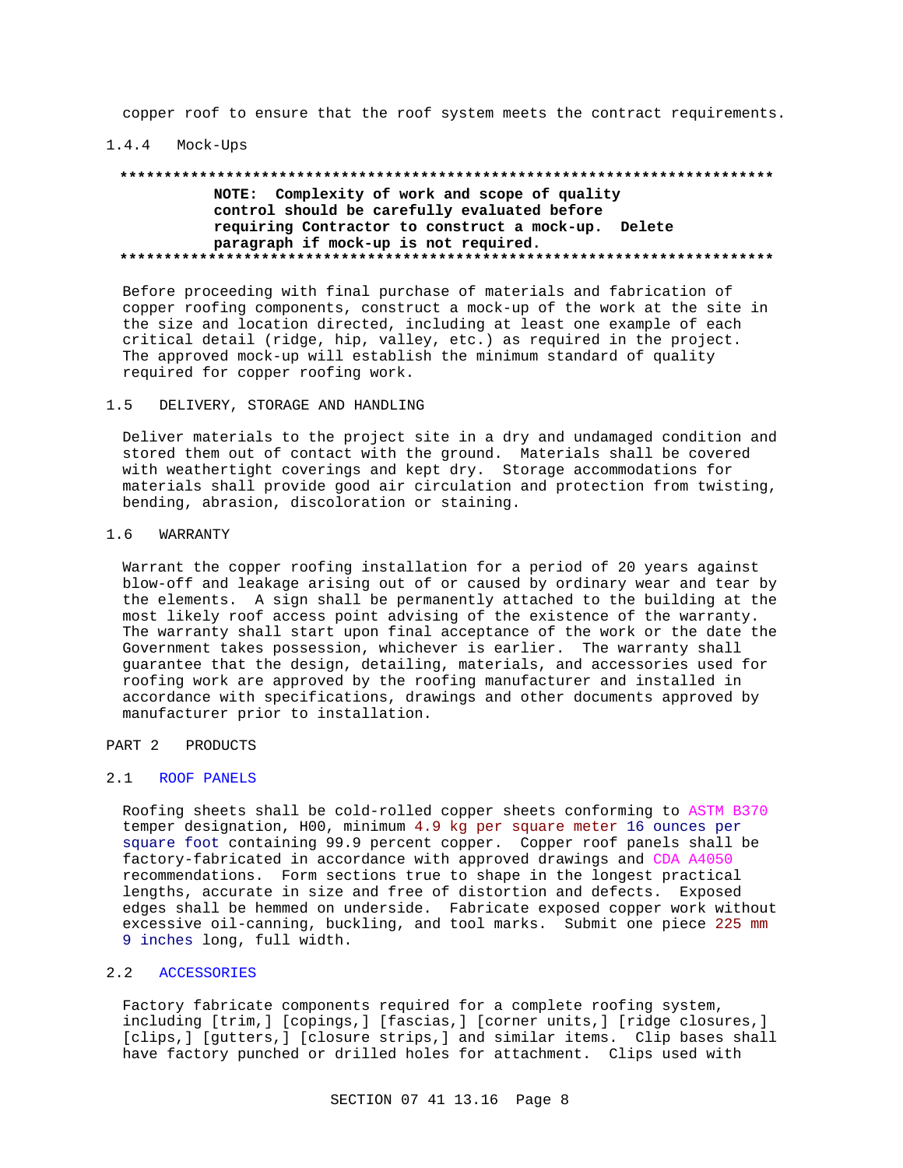copper roof to ensure that the roof system meets the contract requirements.

#### 1.4.4 Mock-Ups

## **\*\*\*\*\*\*\*\*\*\*\*\*\*\*\*\*\*\*\*\*\*\*\*\*\*\*\*\*\*\*\*\*\*\*\*\*\*\*\*\*\*\*\*\*\*\*\*\*\*\*\*\*\*\*\*\*\*\*\*\*\*\*\*\*\*\*\*\*\*\*\*\*\*\* NOTE: Complexity of work and scope of quality control should be carefully evaluated before requiring Contractor to construct a mock-up. Delete paragraph if mock-up is not required. \*\*\*\*\*\*\*\*\*\*\*\*\*\*\*\*\*\*\*\*\*\*\*\*\*\*\*\*\*\*\*\*\*\*\*\*\*\*\*\*\*\*\*\*\*\*\*\*\*\*\*\*\*\*\*\*\*\*\*\*\*\*\*\*\*\*\*\*\*\*\*\*\*\***

Before proceeding with final purchase of materials and fabrication of copper roofing components, construct a mock-up of the work at the site in the size and location directed, including at least one example of each critical detail (ridge, hip, valley, etc.) as required in the project. The approved mock-up will establish the minimum standard of quality required for copper roofing work.

#### 1.5 DELIVERY, STORAGE AND HANDLING

Deliver materials to the project site in a dry and undamaged condition and stored them out of contact with the ground. Materials shall be covered with weathertight coverings and kept dry. Storage accommodations for materials shall provide good air circulation and protection from twisting, bending, abrasion, discoloration or staining.

### 1.6 WARRANTY

Warrant the copper roofing installation for a period of 20 years against blow-off and leakage arising out of or caused by ordinary wear and tear by the elements. A sign shall be permanently attached to the building at the most likely roof access point advising of the existence of the warranty. The warranty shall start upon final acceptance of the work or the date the Government takes possession, whichever is earlier. The warranty shall guarantee that the design, detailing, materials, and accessories used for roofing work are approved by the roofing manufacturer and installed in accordance with specifications, drawings and other documents approved by manufacturer prior to installation.

## PART 2 PRODUCTS

## 2.1 ROOF PANELS

Roofing sheets shall be cold-rolled copper sheets conforming to ASTM B370 temper designation, H00, minimum 4.9 kg per square meter 16 ounces per square foot containing 99.9 percent copper. Copper roof panels shall be factory-fabricated in accordance with approved drawings and CDA A4050 recommendations. Form sections true to shape in the longest practical lengths, accurate in size and free of distortion and defects. Exposed edges shall be hemmed on underside. Fabricate exposed copper work without excessive oil-canning, buckling, and tool marks. Submit one piece 225 mm 9 inches long, full width.

### 2.2 ACCESSORIES

Factory fabricate components required for a complete roofing system, including [trim,] [copings,] [fascias,] [corner units,] [ridge closures,] [clips, ] [gutters, ] [closure strips, ] and similar items. Clip bases shall have factory punched or drilled holes for attachment. Clips used with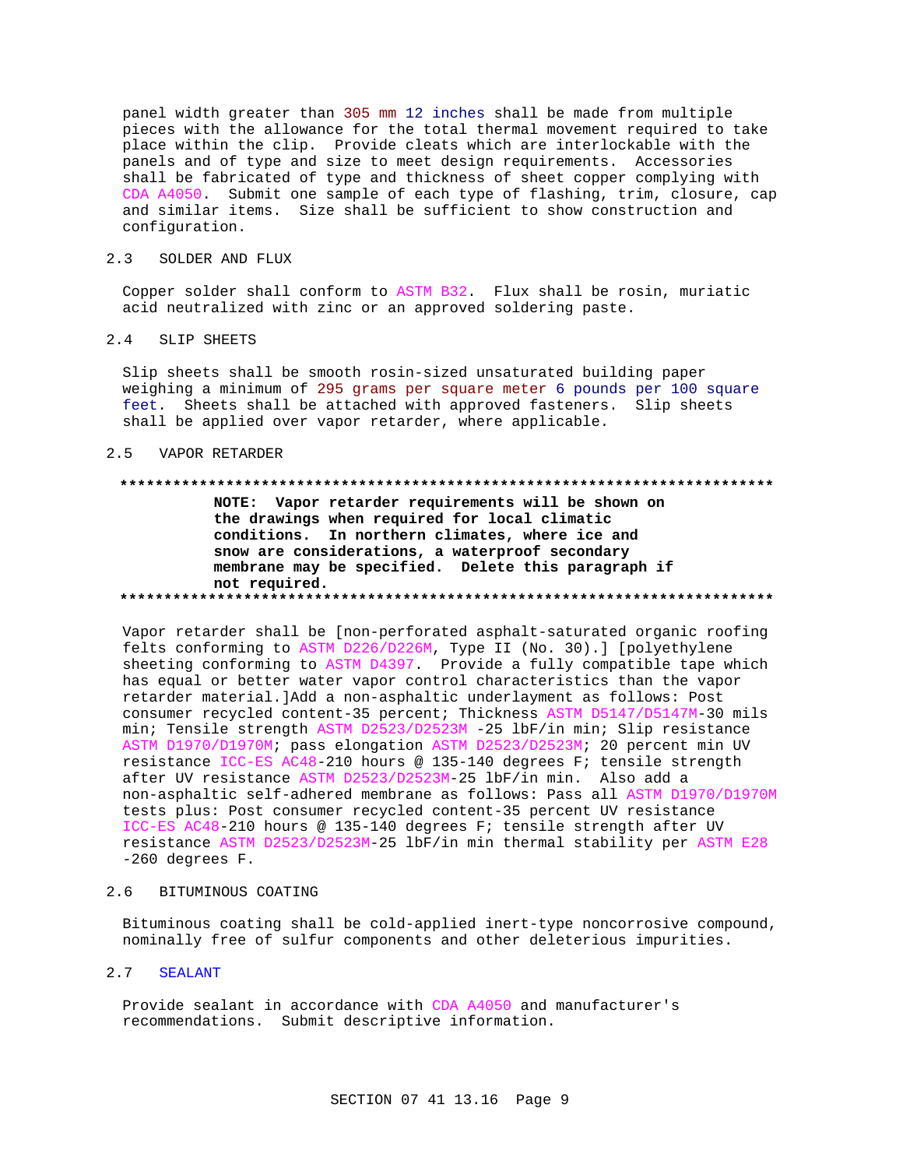panel width greater than 305 mm 12 inches shall be made from multiple pieces with the allowance for the total thermal movement required to take place within the clip. Provide cleats which are interlockable with the panels and of type and size to meet design requirements. Accessories shall be fabricated of type and thickness of sheet copper complying with CDA A4050. Submit one sample of each type of flashing, trim, closure, cap and similar items. Size shall be sufficient to show construction and configuration.

## 2.3 SOLDER AND FLUX

Copper solder shall conform to ASTM B32. Flux shall be rosin, muriatic acid neutralized with zinc or an approved soldering paste.

## 2.4 SLIP SHEETS

Slip sheets shall be smooth rosin-sized unsaturated building paper weighing a minimum of 295 grams per square meter 6 pounds per 100 square feet. Sheets shall be attached with approved fasteners. Slip sheets shall be applied over vapor retarder, where applicable.

#### 2.5 VAPOR RETARDER

#### **\*\*\*\*\*\*\*\*\*\*\*\*\*\*\*\*\*\*\*\*\*\*\*\*\*\*\*\*\*\*\*\*\*\*\*\*\*\*\*\*\*\*\*\*\*\*\*\*\*\*\*\*\*\*\*\*\*\*\*\*\*\*\*\*\*\*\*\*\*\*\*\*\*\***

**NOTE: Vapor retarder requirements will be shown on the drawings when required for local climatic conditions. In northern climates, where ice and snow are considerations, a waterproof secondary membrane may be specified. Delete this paragraph if not required. \*\*\*\*\*\*\*\*\*\*\*\*\*\*\*\*\*\*\*\*\*\*\*\*\*\*\*\*\*\*\*\*\*\*\*\*\*\*\*\*\*\*\*\*\*\*\*\*\*\*\*\*\*\*\*\*\*\*\*\*\*\*\*\*\*\*\*\*\*\*\*\*\*\***

Vapor retarder shall be [non-perforated asphalt-saturated organic roofing felts conforming to ASTM D226/D226M, Type II (No. 30).] [polyethylene sheeting conforming to ASTM D4397. Provide a fully compatible tape which has equal or better water vapor control characteristics than the vapor retarder material.]Add a non-asphaltic underlayment as follows: Post consumer recycled content-35 percent; Thickness ASTM D5147/D5147M-30 mils min; Tensile strength ASTM D2523/D2523M -25 lbF/in min; Slip resistance ASTM D1970/D1970M; pass elongation ASTM D2523/D2523M; 20 percent min UV resistance ICC-ES AC48-210 hours @ 135-140 degrees F; tensile strength after UV resistance ASTM D2523/D2523M-25 lbF/in min. Also add a non-asphaltic self-adhered membrane as follows: Pass all ASTM D1970/D1970M tests plus: Post consumer recycled content-35 percent UV resistance ICC-ES AC48-210 hours @ 135-140 degrees F; tensile strength after UV resistance ASTM D2523/D2523M-25 lbF/in min thermal stability per ASTM E28 -260 degrees F.

#### 2.6 BITUMINOUS COATING

Bituminous coating shall be cold-applied inert-type noncorrosive compound, nominally free of sulfur components and other deleterious impurities.

### 2.7 SEALANT

Provide sealant in accordance with CDA A4050 and manufacturer's recommendations. Submit descriptive information.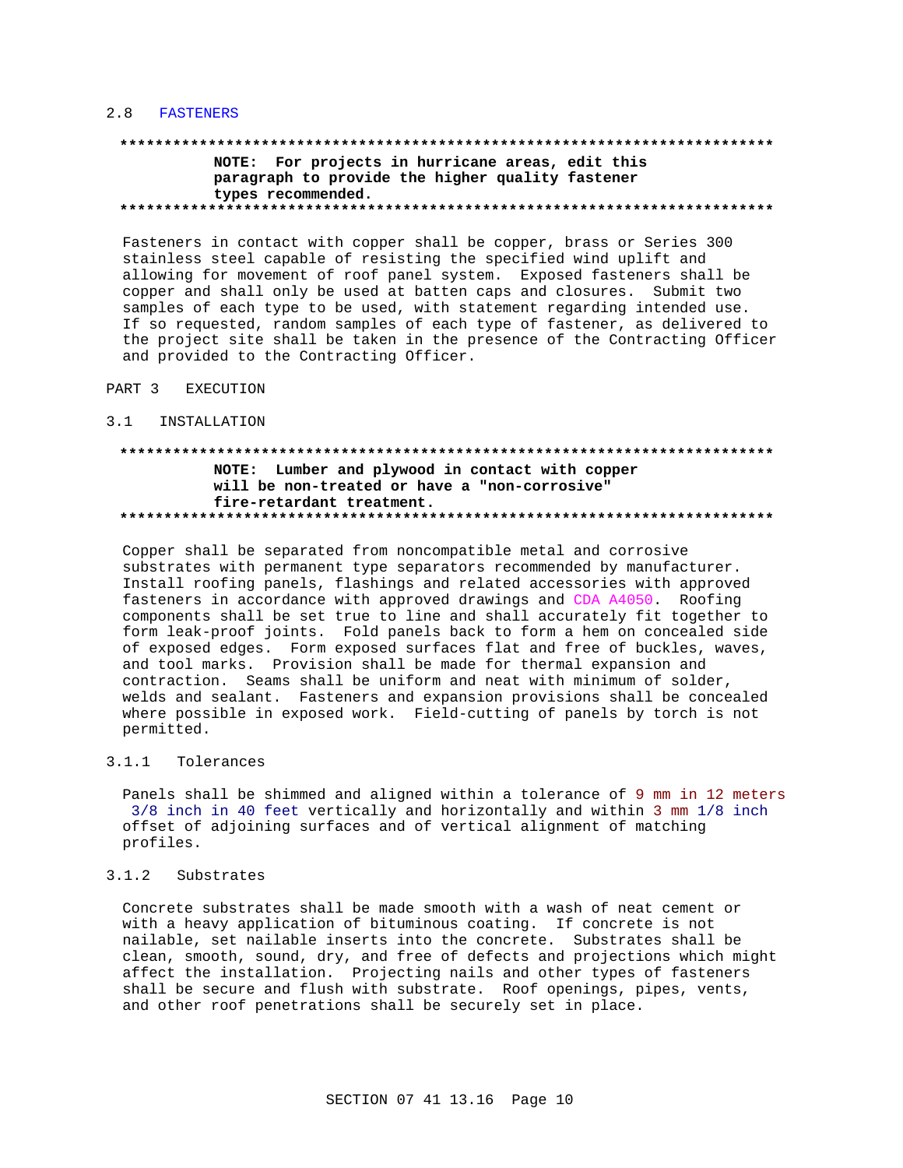#### 2.8 FASTENERS

# NOTE: For projects in hurricane areas, edit this paragraph to provide the higher quality fastener types recommended.

Fasteners in contact with copper shall be copper, brass or Series 300 stainless steel capable of resisting the specified wind uplift and allowing for movement of roof panel system. Exposed fasteners shall be copper and shall only be used at batten caps and closures. Submit two samples of each type to be used, with statement regarding intended use. If so requested, random samples of each type of fastener, as delivered to the project site shall be taken in the presence of the Contracting Officer and provided to the Contracting Officer.

- PART 3 EXECUTION
- $3.1$ INSTALLATION

## NOTE: Lumber and plywood in contact with copper will be non-treated or have a "non-corrosive" fire-retardant treatment.

Copper shall be separated from noncompatible metal and corrosive substrates with permanent type separators recommended by manufacturer. Install roofing panels, flashings and related accessories with approved fasteners in accordance with approved drawings and CDA A4050. Roofing components shall be set true to line and shall accurately fit together to form leak-proof joints. Fold panels back to form a hem on concealed side of exposed edges. Form exposed surfaces flat and free of buckles, waves, and tool marks. Provision shall be made for thermal expansion and contraction. Seams shall be uniform and neat with minimum of solder, welds and sealant. Fasteners and expansion provisions shall be concealed where possible in exposed work. Field-cutting of panels by torch is not permitted.

#### $3.1.1$ Tolerances

Panels shall be shimmed and aligned within a tolerance of 9 mm in 12 meters 3/8 inch in 40 feet vertically and horizontally and within 3 mm 1/8 inch offset of adjoining surfaces and of vertical alignment of matching profiles.

#### $3.1.2$ Substrates

Concrete substrates shall be made smooth with a wash of neat cement or with a heavy application of bituminous coating. If concrete is not nailable, set nailable inserts into the concrete. Substrates shall be clean, smooth, sound, dry, and free of defects and projections which might affect the installation. Projecting nails and other types of fasteners shall be secure and flush with substrate. Roof openings, pipes, vents, and other roof penetrations shall be securely set in place.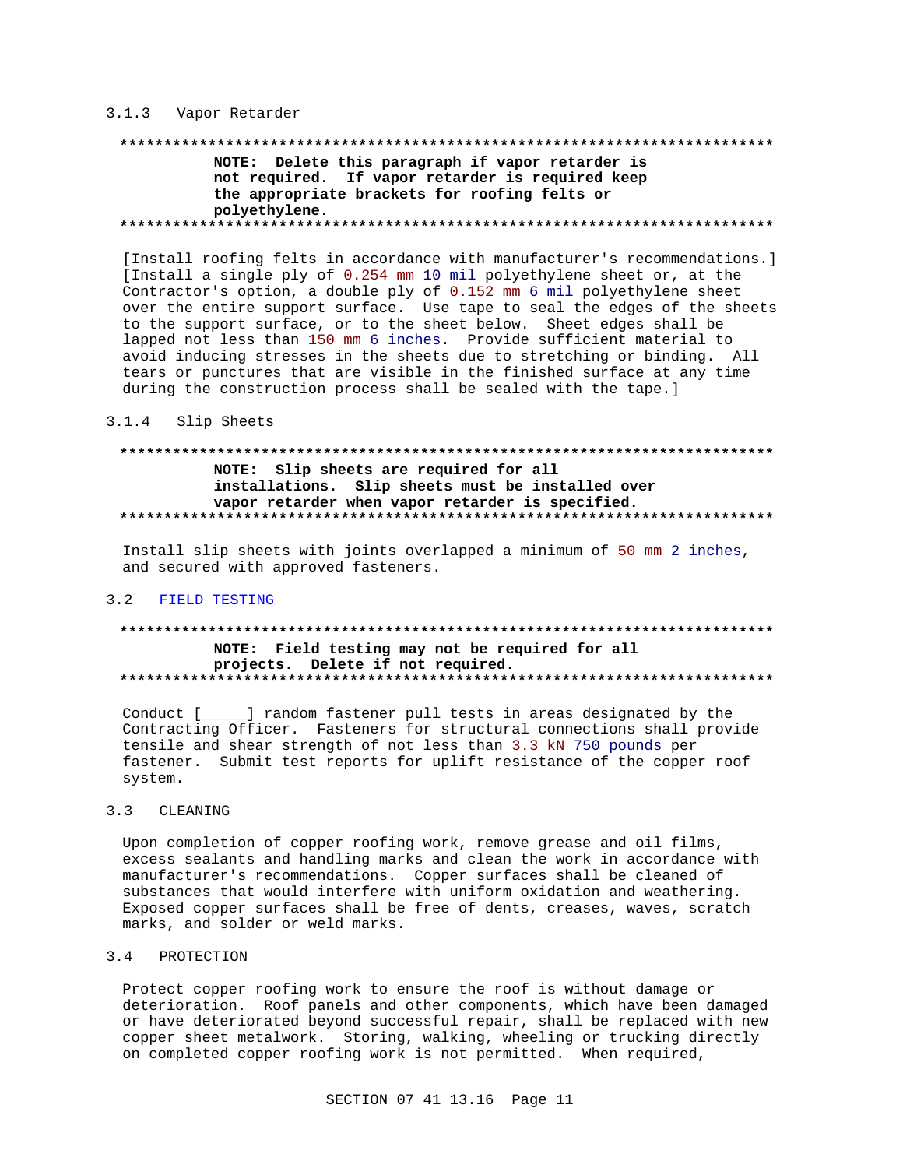### 3.1.3 Vapor Retarder

# NOTE: Delete this paragraph if vapor retarder is not required. If vapor retarder is required keep the appropriate brackets for roofing felts or polyethylene.

[Install roofing felts in accordance with manufacturer's recommendations.] [Install a single ply of 0.254 mm 10 mil polyethylene sheet or, at the Contractor's option, a double ply of 0.152 mm 6 mil polyethylene sheet over the entire support surface. Use tape to seal the edges of the sheets to the support surface, or to the sheet below. Sheet edges shall be lapped not less than 150 mm 6 inches. Provide sufficient material to avoid inducing stresses in the sheets due to stretching or binding. All tears or punctures that are visible in the finished surface at any time during the construction process shall be sealed with the tape.]

#### $3.1.4$ Slip Sheets

## NOTE: Slip sheets are required for all installations. Slip sheets must be installed over vapor retarder when vapor retarder is specified.

Install slip sheets with joints overlapped a minimum of 50 mm 2 inches, and secured with approved fasteners.

#### 3.2 FIELD TESTING

## NOTE: Field testing may not be required for all projects. Delete if not required.

Conduct [\_\_\_\_\_] random fastener pull tests in areas designated by the Contracting Officer. Fasteners for structural connections shall provide tensile and shear strength of not less than 3.3 kN 750 pounds per fastener. Submit test reports for uplift resistance of the copper roof system.

#### $3.3$ CLEANING

Upon completion of copper roofing work, remove grease and oil films, excess sealants and handling marks and clean the work in accordance with manufacturer's recommendations. Copper surfaces shall be cleaned of substances that would interfere with uniform oxidation and weathering. Exposed copper surfaces shall be free of dents, creases, waves, scratch marks, and solder or weld marks.

#### PROTECTION  $3.4$

Protect copper roofing work to ensure the roof is without damage or deterioration. Roof panels and other components, which have been damaged or have deteriorated beyond successful repair, shall be replaced with new copper sheet metalwork. Storing, walking, wheeling or trucking directly on completed copper roofing work is not permitted. When required,